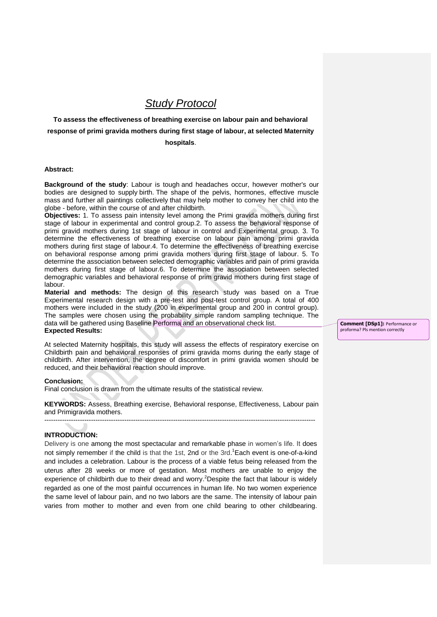# *Study Protocol*

**To assess the effectiveness of breathing exercise on labour pain and behavioral response of primi gravida mothers during first stage of labour, at selected Maternity hospitals**.

#### **Abstract:**

**Background of the study**: Labour is tough and headaches occur, however mother's our bodies are designed to supply birth. The shape of the pelvis, hormones, effective muscle mass and further all paintings collectively that may help mother to convey her child into the globe - before, within the course of and after childbirth.

**Objectives:** 1. To assess pain intensity level among the Primi gravida mothers during first stage of labour in experimental and control group.2. To assess the behavioral response of primi gravid mothers during 1st stage of labour in control and Experimental group. 3. To determine the effectiveness of breathing exercise on labour pain among primi gravida mothers during first stage of labour.4. To determine the effectiveness of breathing exercise on behavioral response among primi gravida mothers during first stage of labour. 5. To determine the association between selected demographic variables and pain of primi gravida mothers during first stage of labour.6. To determine the association between selected demographic variables and behavioral response of prim gravid mothers during first stage of labour.

**Material and methods:** The design of this research study was based on a True Experimental research design with a pre-test and post-test control group. A total of 400 mothers were included in the study (200 in experimental group and 200 in control group). The samples were chosen using the probability simple random sampling technique. The data will be gathered using Baseline Performa and an observational check list. **Expected Results:**

At selected Maternity hospitals, this study will assess the effects of respiratory exercise on Childbirth pain and behavioral responses of primi gravida moms during the early stage of childbirth. After intervention, the degree of discomfort in primi gravida women should be reduced, and their behavioral reaction should improve.

#### **Conclusion:**

Final conclusion is drawn from the ultimate results of the statistical review.

**KEYWORDS:** Assess, Breathing exercise, Behavioral response, Effectiveness, Labour pain and Primigravida mothers. --------------------------------------------------------------------------------------------------------------------------

#### **INTRODUCTION:**

Delivery is one among the most spectacular and remarkable phase in women's life. It does not simply remember if the child is that the 1st, 2nd or the 3rd. <sup>1</sup>Each event is one-of-a-kind and includes a celebration. Labour is the process of a viable fetus being released from the uterus after 28 weeks or more of gestation. Most mothers are unable to enjoy the experience of childbirth due to their dread and worry.<sup>2</sup>Despite the fact that labour is widely regarded as one of the most painful occurrences in human life. No two women experience the same level of labour pain, and no two labors are the same. The intensity of labour pain varies from mother to mother and even from one child bearing to other childbearing.

**Comment [DSp1]:** Performance or proforma? Pls mention correctly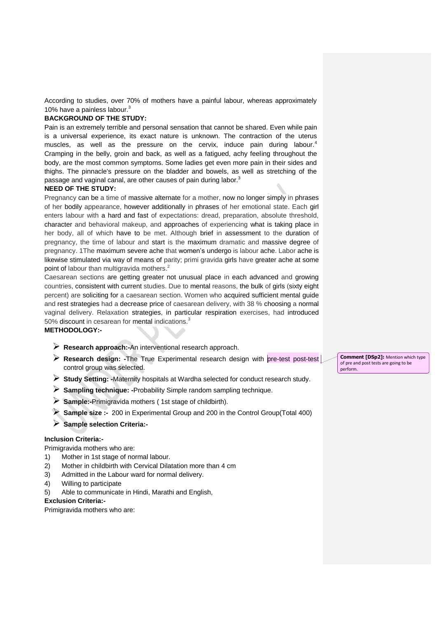According to studies, over 70% of mothers have a painful labour, whereas approximately 10% have a painless labour.<sup>3</sup>

## **BACKGROUND OF THE STUDY:**

Pain is an extremely terrible and personal sensation that cannot be shared. Even while pain is a universal experience, its exact nature is unknown. The contraction of the uterus muscles, as well as the pressure on the cervix, induce pain during labour.<sup>4</sup> Cramping in the belly, groin and back, as well as a fatigued, achy feeling throughout the body, are the most common symptoms. Some ladies get even more pain in their sides and thighs. The pinnacle's pressure on the bladder and bowels, as well as stretching of the passage and vaginal canal, are other causes of pain during labor. $^3$ 

#### **NEED OF THE STUDY:**

Pregnancy can be a time of massive alternate for a mother, now no longer simply in phrases of her bodily appearance, however additionally in phrases of her emotional state. Each girl enters labour with a hard and fast of expectations: dread, preparation, absolute threshold, character and behavioral makeup, and approaches of experiencing what is taking place in her body, all of which have to be met. Although brief in assessment to the duration of pregnancy, the time of labour and start is the maximum dramatic and massive degree of pregnancy. 1The maximum severe ache that women's undergo is labour ache. Labor ache is likewise stimulated via way of means of parity; primi gravida girls have greater ache at some point of labour than multigravida mothers.<sup>2</sup>

Caesarean sections are getting greater not unusual place in each advanced and growing countries, consistent with current studies. Due to mental reasons, the bulk of girls (sixty eight percent) are soliciting for a caesarean section. Women who acquired sufficient mental guide and rest strategies had a decrease price of caesarean delivery, with 38 % choosing a normal vaginal delivery. Relaxation strategies, in particular respiration exercises, had introduced 50% discount in cesarean for mental indications.<sup>3</sup>

## **METHODOLOGY:-**

- **Research approach:-**An interventional research approach.
- **Research design: -The True Experimental research design with pre-test post-test** control group was selected.
- **Study Setting: -**Maternity hospitals at Wardha selected for conduct research study.
- **Sampling technique: -**Probability Simple random sampling technique.
- **Sample:-**Primigravida mothers ( 1st stage of childbirth).
- **Sample size :-** <sup>200</sup> in Experimental Group and 200 in the Control Group(Total 400)
- **Sample selection Criteria:-**

## **Inclusion Criteria:-**

Primigravida mothers who are:

- 1) Mother in 1st stage of normal labour.
- 2) Mother in childbirth with Cervical Dilatation more than 4 cm
- 3) Admitted in the Labour ward for normal delivery.
- 4) Willing to participate
- 5) Able to communicate in Hindi, Marathi and English,

#### **Exclusion Criteria:-**

Primigravida mothers who are:

**Comment [DSp2]:** Mention which type of pre and post tests are going to be perform.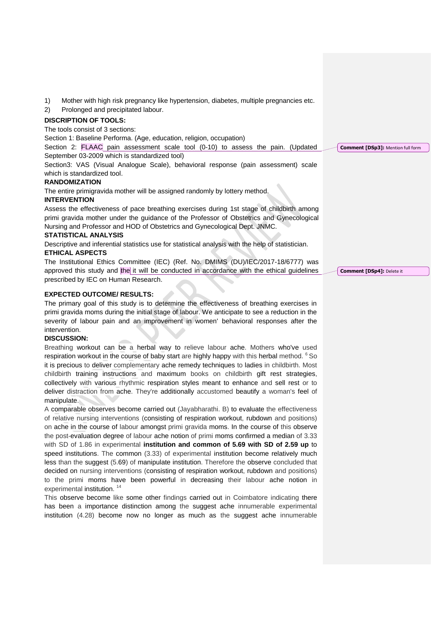1) Mother with high risk pregnancy like hypertension, diabetes, multiple pregnancies etc.

2) Prolonged and precipitated labour.

## **DISCRIPTION OF TOOLS:**

The tools consist of 3 sections:

Section 1: Baseline Performa. (Age, education, religion, occupation)

Section 2: FLAAC pain assessment scale tool (0-10) to assess the pain. (Updated September 03-2009 which is standardized tool)

Section3: VAS (Visual Analogue Scale), behavioral response (pain assessment) scale which is standardized tool.

#### **RANDOMIZATION**

The entire primigravida mother will be assigned randomly by lottery method.

# **INTERVENTION**

Assess the effectiveness of pace breathing exercises during 1st stage of childbirth among primi gravida mother under the guidance of the Professor of Obstetrics and Gynecological Nursing and Professor and HOD of Obstetrics and Gynecological Dept. JNMC.

## **STATISTICAL ANALYSIS**

Descriptive and inferential statistics use for statistical analysis with the help of statistician.

## **ETHICAL ASPECTS**

The Institutional Ethics Committee (IEC) (Ref. No. DMIMS (DU)/IEC/2017-18/6777) was approved this study and the it will be conducted in accordance with the ethical guidelines prescribed by IEC on Human Research.

#### **EXPECTED OUTCOME/ RESULTS:**

The primary goal of this study is to determine the effectiveness of breathing exercises in primi gravida moms during the initial stage of labour. We anticipate to see a reduction in the severity of labour pain and an improvement in women' behavioral responses after the intervention.

#### **DISCUSSION:**

Breathing workout can be a herbal way to relieve labour ache. Mothers who've used respiration workout in the course of baby start are highly happy with this herbal method. <sup>6</sup>So it is precious to deliver complementary ache remedy techniques to ladies in childbirth. Most childbirth training instructions and maximum books on childbirth gift rest strategies, collectively with various rhythmic respiration styles meant to enhance and sell rest or to deliver distraction from ache. They're additionally accustomed beautify a woman's feel of manipulate.

A comparable observes become carried out (Jayabharathi. B) to evaluate the effectiveness of relative nursing interventions (consisting of respiration workout, rubdown and positions) on ache in the course of labour amongst primi gravida moms. In the course of this observe the post-evaluation degree of labour ache notion of primi moms confirmed a median of 3.33 with SD of 1.86 in experimental **institution and common of 5.69 with SD of 2.59 up** to speed institutions. The common (3.33) of experimental institution become relatively much less than the suggest (5.69) of manipulate institution. Therefore the observe concluded that decided on nursing interventions (consisting of respiration workout, rubdown and positions) to the primi moms have been powerful in decreasing their labour ache notion in experimental institution.<sup>14</sup>

This observe become like some other findings carried out in Coimbatore indicating there has been a importance distinction among the suggest ache innumerable experimental institution (4.28) become now no longer as much as the suggest ache innumerable

**Comment [DSp4]:** Delete it

**Comment [DSp3]:** Mention full form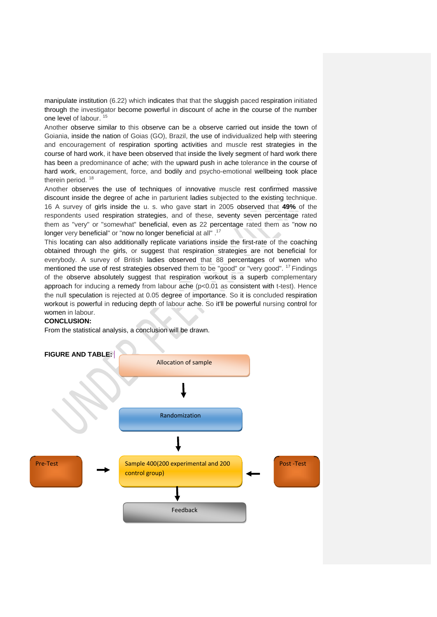manipulate institution (6.22) which indicates that that the sluggish paced respiration initiated through the investigator become powerful in discount of ache in the course of the number one level of labour.<sup>15</sup>

Another observe similar to this observe can be a observe carried out inside the town of Goiania, inside the nation of Goias (GO), Brazil, the use of individualized help with steering and encouragement of respiration sporting activities and muscle rest strategies in the course of hard work, it have been observed that inside the lively segment of hard work there has been a predominance of ache; with the upward push in ache tolerance in the course of hard work, encouragement, force, and bodily and psycho-emotional wellbeing took place therein period.<sup>18</sup>

Another observes the use of techniques of innovative muscle rest confirmed massive discount inside the degree of ache in parturient ladies subjected to the existing technique. 16 A survey of girls inside the u. s. who gave start in 2005 observed that **49%** of the respondents used respiration strategies, and of these, seventy seven percentage rated them as "very" or "somewhat" beneficial, even as 22 percentage rated them as "now no longer very beneficial" or "now no longer beneficial at all".<sup>17</sup>

This locating can also additionally replicate variations inside the first-rate of the coaching obtained through the girls, or suggest that respiration strategies are not beneficial for everybody. A survey of British ladies observed that 88 percentages of women who mentioned the use of rest strategies observed them to be "good" or "very good". <sup>17</sup> Findings of the observe absolutely suggest that respiration workout is a superb complementary approach for inducing a remedy from labour ache (p<0.01 as consistent with t-test). Hence the null speculation is rejected at 0.05 degree of importance. So it is concluded respiration workout is powerful in reducing depth of labour ache. So it'll be powerful nursing control for women in labour.

## **CONCLUSION:**

From the statistical analysis, a conclusion will be drawn.

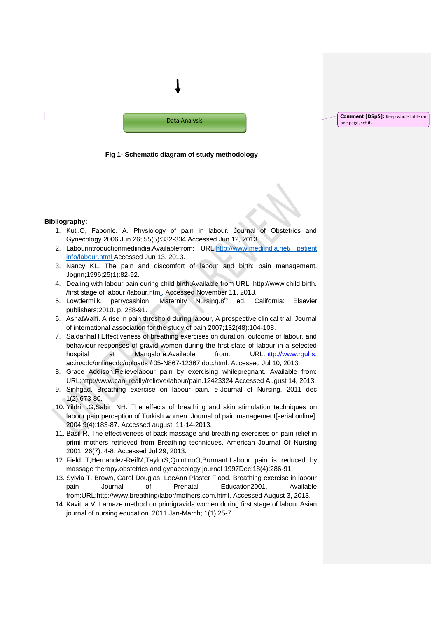

#### **Fig 1- Schematic diagram of study methodology**

#### **Bibliography:**

- 1. Kuti.O, Faponle. A. Physiology of pain in labour. Journal of Obstetrics and Gynecology 2006 Jun 26; 55(5):332-334.Accessed Jun 12, 2013.
- 2. Labourintroductionmediindia.Availablefrom: URL:http://www.mediindia.net/ patient [info/labour.html](http://www.mediindia.net/%20patient%20info/labour.htm) Accessed Jun 13, 2013.
- 3. Nancy KL. The pain and discomfort of labour and birth: pain management. Jognn;1996;25(1):82-92.
- 4. Dealing with labour pain during child birth.Available from URL: http://www.child birth. /first stage of labour /labour.html. Accessed November 11, 2013.
- 5. Lowdermilk, perrycashion. Maternity Nursing.8<sup>th</sup> ed. California: Elsevier publishers;2010. p. 288-91.
- 6. AsnatWalfi. A rise in pain threshold during labour, A prospective clinical trial: Journal of international association for the study of pain 2007;132(48):104-108.
- 7. SaldanhaH.Effectiveness of breathing exercises on duration, outcome of labour, and behaviour responses of gravid women during the first state of labour in a selected hospital at Mangalore.Available from: URL:http://www.rguhs. ac.in/cdc/onlinecdc/uploads / 05-N867-12367.doc.html. Accessed Jul 10, 2013.
- 8. Grace Addison.Relievelabour pain by exercising whilepregnant. Available from: URL:http://www.can\_really/relieve/labour/pain.12423324.Accessed August 14, 2013.
- 9. Sinhgad. Breathing exercise on labour pain. e-Journal of Nursing. 2011 dec 1(2):673-80.
- 10. Yildrim.G,Sabin NH. The effects of breathing and skin stimulation techniques on labour pain perception of Turkish women. Journal of pain management[serial online]. 2004;9(4):183-87. Accessed august 11-14-2013.
- 11. Basil R. The effectiveness of back massage and breathing exercises on pain relief in primi mothers retrieved from Breathing techniques. American Journal Of Nursing 2001; 26(7): 4-8. Accessed Jul 29, 2013.
- 12. Field T,Hernandez-ReifM,TaylorS,QuintinoO,BurmanI.Labour pain is reduced by massage therapy.obstetrics and gynaecology journal 1997Dec;18(4):286-91.
- 13. Sylvia T. Brown, Carol Douglas, LeeAnn Plaster Flood. Breathing exercise in labour pain Journal of Prenatal Education2001. Available from:URL:http://www.breathing/labor/mothers.com.html. Accessed August 3, 2013.
- 14. Kavitha V. Lamaze method on primigravida women during first stage of labour.Asian journal of nursing education. 2011 Jan-March; 1(1):25-7.